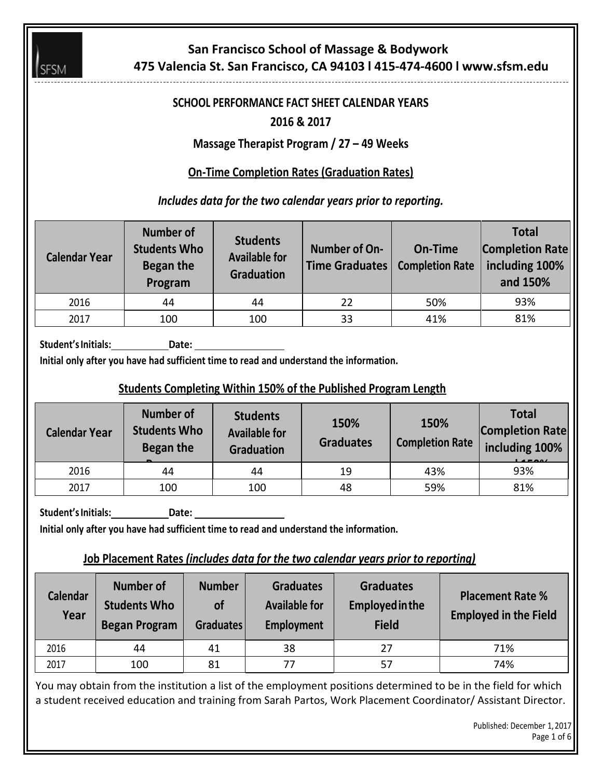

# **San Francisco School of Massage & Bodywork 475 Valencia St. San Francisco, CA 94103 l 415-474-4600 l www.sfsm.edu**

# **SCHOOL PERFORMANCE FACT SHEET CALENDAR YEARS**

# **2016 & 2017**

**Massage Therapist Program / 27 – 49 Weeks**

# **On-Time Completion Rates (Graduation Rates)**

*Includes data for the two calendar years prior to reporting.*

| <b>Calendar Year</b> | <b>Number of</b><br><b>Students Who</b><br>Began the<br>Program | <b>Students</b><br><b>Available for</b><br><b>Graduation</b> | Number of On-<br>Time Graduates | <b>On-Time</b><br><b>Completion Rate</b> | <b>Total</b><br><b>Completion Rate</b><br>including 100%<br>and 150% |
|----------------------|-----------------------------------------------------------------|--------------------------------------------------------------|---------------------------------|------------------------------------------|----------------------------------------------------------------------|
| 2016                 | 44                                                              | 44                                                           | 22                              | 50%                                      | 93%                                                                  |
| 2017                 | 100                                                             | 100                                                          | 33                              | 41%                                      | 81%                                                                  |

**Student'sInitials: Date:**

**Initial only after you have had sufficient time to read and understand the information.**

# **Students Completing Within 150% of the Published Program Length**

| <b>Calendar Year</b> | Number of<br><b>Students Who</b><br>Began the | <b>Students</b><br><b>Available for</b><br><b>Graduation</b> | 150%<br><b>Graduates</b> | 150%<br><b>Completion Rate</b> | <b>Total</b><br><b>Completion Rate</b><br>including 100%<br>$I = RQ$ |
|----------------------|-----------------------------------------------|--------------------------------------------------------------|--------------------------|--------------------------------|----------------------------------------------------------------------|
| 2016                 | 44                                            | 44                                                           | 19                       | 43%                            | 93%                                                                  |
| 2017                 | 100                                           | 100                                                          | 48                       | 59%                            | 81%                                                                  |

Student's Initials: **Date:** Date:

**Initial only after you have had sufficient time to read and understand the information.**

### **Job Placement Rates** *(includes data for the two calendar years prior to reporting)*

| <b>Calendar</b><br>Year | <b>Number of</b><br><b>Students Who</b><br><b>Began Program</b> | <b>Number</b><br><b>of</b><br>Graduates | <b>Graduates</b><br><b>Available for</b><br>Employment | <b>Graduates</b><br><b>Employed in the</b><br><b>Field</b> | <b>Placement Rate %</b><br><b>Employed in the Field</b> |
|-------------------------|-----------------------------------------------------------------|-----------------------------------------|--------------------------------------------------------|------------------------------------------------------------|---------------------------------------------------------|
| 2016                    | 44                                                              | 41                                      | 38                                                     | 27                                                         | 71%                                                     |
| 2017                    | 100                                                             | 81                                      | 77                                                     | 57                                                         | 74%                                                     |

You may obtain from the institution a list of the employment positions determined to be in the field for which a student received education and training from Sarah Partos, Work Placement Coordinator/ Assistant Director.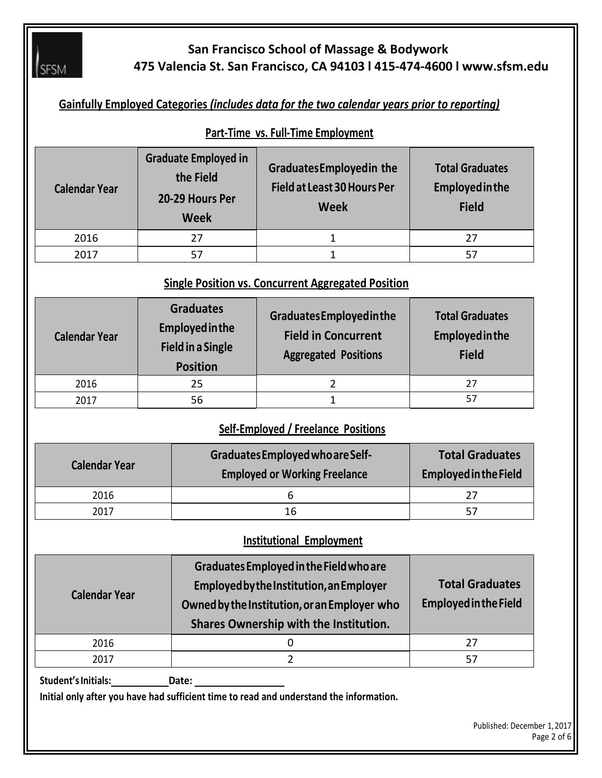

# **San Francisco School of Massage & Bodywork 475 Valencia St. San Francisco, CA 94103 l 415-474-4600 l www.sfsm.edu**

# **Gainfully Employed Categories** *(includes data for the two calendar years prior to reporting)*

#### **Part-Time vs. Full-Time Employment**

| <b>Calendar Year</b> | <b>Graduate Employed in</b><br>the Field<br>20-29 Hours Per<br><b>Week</b> | <b>GraduatesEmployedin the</b><br><b>Field at Least 30 Hours Per</b><br><b>Week</b> | <b>Total Graduates</b><br><b>Employed in the</b><br><b>Field</b> |
|----------------------|----------------------------------------------------------------------------|-------------------------------------------------------------------------------------|------------------------------------------------------------------|
| 2016                 | 27                                                                         | T                                                                                   | 27                                                               |
| 2017                 | 57                                                                         |                                                                                     | 57                                                               |

# **Single Position vs. Concurrent Aggregated Position**

| <b>Calendar Year</b> | <b>Graduates</b><br><b>Employed in the</b><br><b>Field in a Single</b><br><b>Position</b> | GraduatesEmployedinthe<br><b>Field in Concurrent</b><br><b>Aggregated Positions</b> | <b>Total Graduates</b><br><b>Employed in the</b><br><b>Field</b> |  |
|----------------------|-------------------------------------------------------------------------------------------|-------------------------------------------------------------------------------------|------------------------------------------------------------------|--|
| 2016                 | 25                                                                                        |                                                                                     | 27                                                               |  |
| 2017                 | 56                                                                                        |                                                                                     |                                                                  |  |

#### **Self-Employed / Freelance Positions**

| <b>Calendar Year</b> | Graduates Employed who are Self-<br><b>Employed or Working Freelance</b> | <b>Total Graduates</b><br><b>Employed in the Field</b> |  |  |
|----------------------|--------------------------------------------------------------------------|--------------------------------------------------------|--|--|
| 2016                 | n                                                                        |                                                        |  |  |
| 2017                 | 16                                                                       |                                                        |  |  |

#### **Institutional Employment**

| <b>Calendar Year</b> | Graduates Employed in the Field who are<br>Employed by the Institution, an Employer<br>Owned by the Institution, or an Employer who<br>Shares Ownership with the Institution. | <b>Total Graduates</b><br><b>Employed in the Field</b> |
|----------------------|-------------------------------------------------------------------------------------------------------------------------------------------------------------------------------|--------------------------------------------------------|
| 2016                 |                                                                                                                                                                               |                                                        |
| 2017                 |                                                                                                                                                                               |                                                        |

Student's Initials: Date:

**Initial only after you have had sufficient time to read and understand the information.**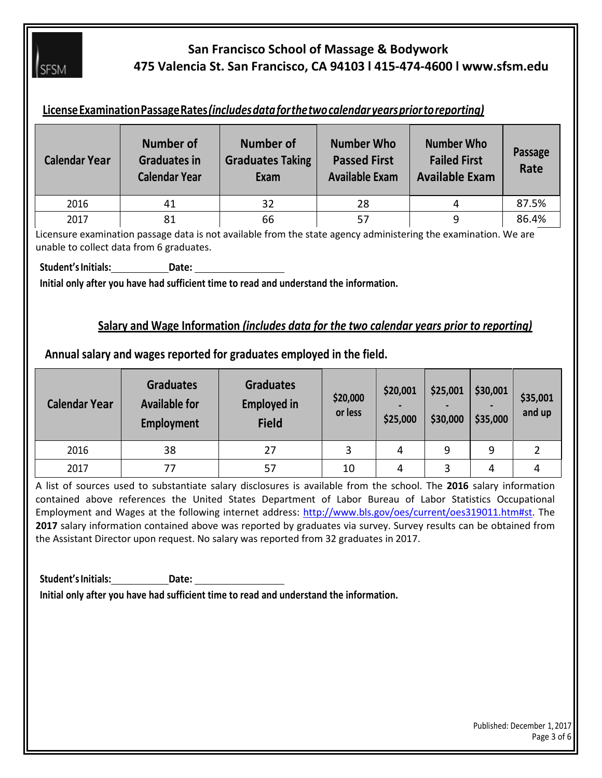

# **San Francisco School of Massage & Bodywork 475 Valencia St. San Francisco, CA 94103 l 415-474-4600 l www.sfsm.edu**

## **LicenseExaminationPassageRates***(includesdataforthetwocalendaryearspriortoreporting)*

| <b>Calendar Year</b> | Number of<br><b>Graduates in</b><br><b>Calendar Year</b> | <b>Number of</b><br><b>Graduates Taking</b><br>Exam | <b>Number Who</b><br><b>Passed First</b><br><b>Available Exam</b> | <b>Number Who</b><br><b>Failed First</b><br><b>Available Exam</b> | Passage<br>Rate |
|----------------------|----------------------------------------------------------|-----------------------------------------------------|-------------------------------------------------------------------|-------------------------------------------------------------------|-----------------|
| 2016                 | 41                                                       | 32                                                  | 28                                                                |                                                                   | 87.5%           |
| 2017                 | 81                                                       | 66                                                  | 57                                                                | 9                                                                 | 86.4%           |

Licensure examination passage data is not available from the state agency administering the examination. We are unable to collect data from 6 graduates.

**Student'sInitials: Date:**

**Initial only after you have had sufficient time to read and understand the information.**

#### **Salary and Wage Information** *(includes data for the two calendar years prior to reporting)*

#### **Annual salary and wages reported for graduates employed in the field.**

| <b>Calendar Year</b> | <b>Graduates</b><br><b>Available for</b><br>Employment | <b>Graduates</b><br><b>Employed in</b><br><b>Field</b> | \$20,000<br>or less | \$20,001<br>\$25,000 | \$25,001<br>\$30,000 | \$30,001<br>\$35,000 | \$35,001<br>and up |
|----------------------|--------------------------------------------------------|--------------------------------------------------------|---------------------|----------------------|----------------------|----------------------|--------------------|
| 2016                 | 38                                                     | 27                                                     | 3                   | 4                    | 9                    | 9                    |                    |
| 2017                 | 77                                                     | 57                                                     | 10                  | 4                    | 3                    | 4                    |                    |

A list of sources used to substantiate salary disclosures is available from the school. The **2016** salary information contained above references the United States Department of Labor Bureau of Labor Statistics Occupational Employment and Wages at the following internet address: [http://www.bls.gov/oes/current/oes319011.htm#st.](http://www.bls.gov/oes/current/oes319011.htm#st) The **2017** salary information contained above was reported by graduates via survey. Survey results can be obtained from the Assistant Director upon request. No salary was reported from 32 graduates in 2017.

**Student'sInitials: Date:**

**Initial only after you have had sufficient time to read and understand the information.**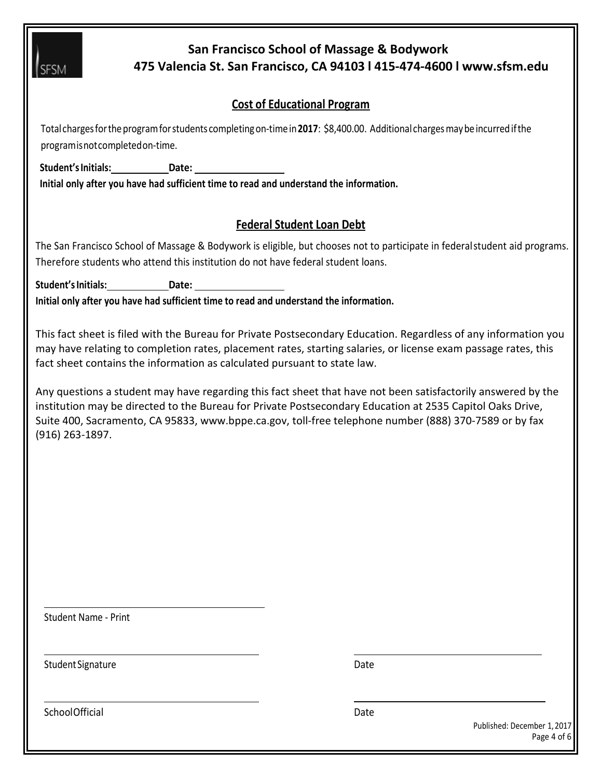

SchoolOfficial Date Date Date Date Date Date

Published: December 1,2017 Page 4 of 6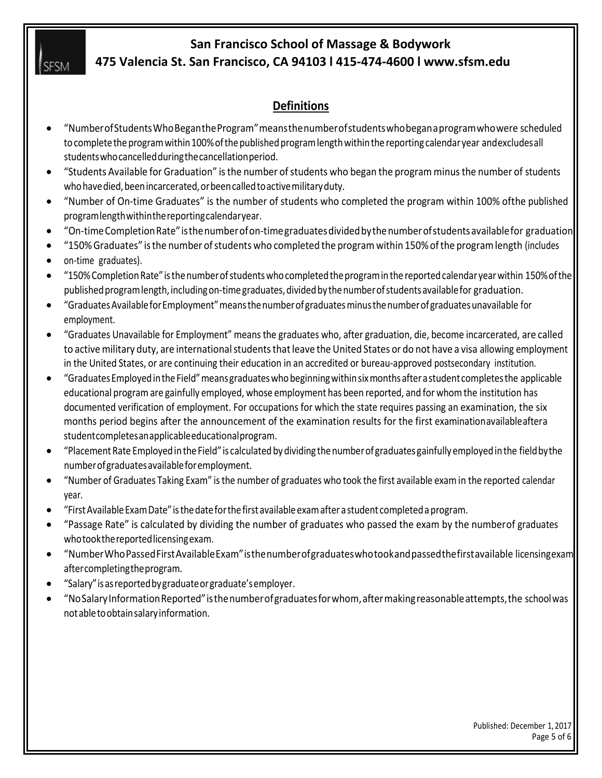**I**SESM

### **San Francisco School of Massage & Bodywork 475 Valencia St. San Francisco, CA 94103 l 415-474-4600 l www.sfsm.edu**

# **Definitions**

- "NumberofStudentsWhoBegantheProgram"meansthenumberofstudentswhobeganaprogramwhowere scheduled to complete the program within 100% of the published program length within the reporting calendar year andexcludesall studentswhocancelledduringthecancellationperiod.
- "Students Available for Graduation" isthe number ofstudents who began the program minusthe number of students who have died, been incarcerated, or been called to active military duty.
- "Number of On-time Graduates" is the number of students who completed the program within 100% ofthe published programlengthwithinthereportingcalendaryear.
- "On-timeCompletionRate"isthenumberofon-timegraduatesdividedbythenumberofstudentsavailablefor graduation.
- "150% Graduates" isthe number ofstudents who completed the programwithin 150%ofthe programlength (includes
- on-time graduates).
- "150%CompletionRate" isthenumberofstudentswhocompletedtheprograminthe reportedcalendar yearwithin 150%ofthe published program length, including on-time graduates, divided by the number of students available for graduation.
- "GraduatesAvailableforEmployment"meansthenumberofgraduatesminusthenumberofgraduatesunavailable for employment.
- "Graduates Unavailable for Employment" means the graduates who, after graduation, die, become incarcerated, are called to active military duty, are international students that leave the United States or do not have a visa allowing employment in the United States, or are continuing their education in an accredited or bureau-approved postsecondary institution.
- "GraduatesEmployedintheField"meansgraduateswhobeginningwithinsixmonths afterastudent completesthe applicable educational programare gainfully employed, whose employment has been reported, and for whomthe institution has documented verification of employment. For occupations for which the state requires passing an examination, the six months period begins after the announcement of the examination results for the first examinationavailableaftera studentcompletesanapplicableeducationalprogram.
- "PlacementRate EmployedintheField" is calculatedbydividing thenumberofgraduates gainfullyemployedinthe fieldbythe numberofgraduatesavailableforemployment.
- "Number of Graduates Taking Exam" isthe number of graduates who took the first available examin the reported calendar year.
- "FirstAvailableExamDate" isthedateforthefirst availableexamafterastudent completedaprogram.
- "Passage Rate" is calculated by dividing the number of graduates who passed the exam by the numberof graduates whotookthereportedlicensingexam.
- "NumberWhoPassedFirstAvailableExam"isthenumberofgraduateswhotookandpassedthefirstavailable licensingexam aftercompletingtheprogram.
- "Salary"isasreportedbygraduateorgraduate'semployer.
- "NoSalaryInformationReported"isthenumberofgraduatesforwhom,aftermakingreasonableattempts,the schoolwas notabletoobtainsalaryinformation.